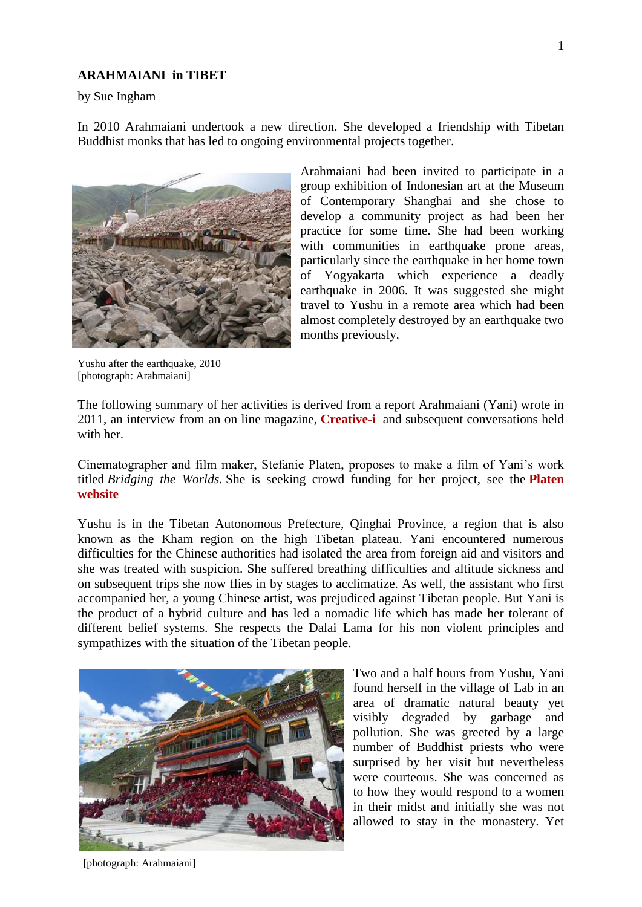## **ARAHMAIANI in TIBET**

by Sue Ingham

In 2010 Arahmaiani undertook a new direction. She developed a friendship with Tibetan Buddhist monks that has led to ongoing environmental projects together.



group exhibition of Indonesian art at the Museum of Contemporary Shanghai and she chose to develop a community project as had been her practice for some time. She had been working with communities in earthquake prone areas, particularly since the earthquake in her home town of Yogyakarta which experience a deadly earthquake in 2006. It was suggested she might travel to Yushu in a remote area which had been almost completely destroyed by an earthquake two months previously.

Yushu after the earthquake, 2010 [photograph: Arahmaiani]

The following summary of her activities is derived from a report Arahmaiani (Yani) wrote in 2011, an interview from an on line magazine, **[Creative-i](http://www.trfineart.com/pdfs/reviews/0000/0507/creative-i_2013_Issue04v02.pdf)** and subsequent conversations held with her.

Cinematographer and film maker, Stefanie Platen, proposes to make a film of Yani's work titled *Bridging the Worlds.* She is seeking crowd funding for her project, see the **[Platen](https://www.indiegogo.com/projects/bridging-the-worlds)  [website](https://www.indiegogo.com/projects/bridging-the-worlds)**

Yushu is in the Tibetan Autonomous Prefecture, Qinghai Province, a region that is also known as the Kham region on the high Tibetan plateau. Yani encountered numerous difficulties for the Chinese authorities had isolated the area from foreign aid and visitors and she was treated with suspicion. She suffered breathing difficulties and altitude sickness and on subsequent trips she now flies in by stages to acclimatize. As well, the assistant who first accompanied her, a young Chinese artist, was prejudiced against Tibetan people. But Yani is the product of a hybrid culture and has led a nomadic life which has made her tolerant of different belief systems. She respects the Dalai Lama for his non violent principles and sympathizes with the situation of the Tibetan people.



Two and a half hours from Yushu, Yani found herself in the village of Lab in an area of dramatic natural beauty yet visibly degraded by garbage and pollution. She was greeted by a large number of Buddhist priests who were surprised by her visit but nevertheless were courteous. She was concerned as to how they would respond to a women in their midst and initially she was not allowed to stay in the monastery. Yet

[photograph: Arahmaiani]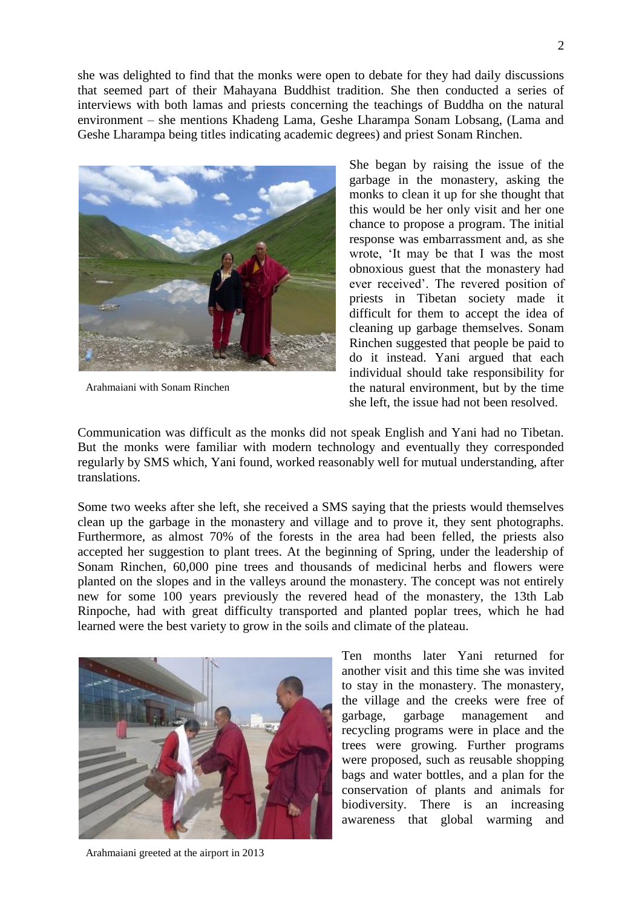she was delighted to find that the monks were open to debate for they had daily discussions that seemed part of their Mahayana Buddhist tradition. She then conducted a series of interviews with both lamas and priests concerning the teachings of Buddha on the natural environment – she mentions Khadeng Lama, Geshe Lharampa Sonam Lobsang, (Lama and Geshe Lharampa being titles indicating academic degrees) and priest Sonam Rinchen.



Arahmaiani with Sonam Rinchen

She began by raising the issue of the garbage in the monastery, asking the monks to clean it up for she thought that this would be her only visit and her one chance to propose a program. The initial response was embarrassment and, as she wrote, 'It may be that I was the most obnoxious guest that the monastery had ever received'. The revered position of priests in Tibetan society made it difficult for them to accept the idea of cleaning up garbage themselves. Sonam Rinchen suggested that people be paid to do it instead. Yani argued that each individual should take responsibility for the natural environment, but by the time she left, the issue had not been resolved.

Communication was difficult as the monks did not speak English and Yani had no Tibetan. But the monks were familiar with modern technology and eventually they corresponded regularly by SMS which, Yani found, worked reasonably well for mutual understanding, after translations.

Some two weeks after she left, she received a SMS saying that the priests would themselves clean up the garbage in the monastery and village and to prove it, they sent photographs. Furthermore, as almost 70% of the forests in the area had been felled, the priests also accepted her suggestion to plant trees. At the beginning of Spring, under the leadership of Sonam Rinchen, 60,000 pine trees and thousands of medicinal herbs and flowers were planted on the slopes and in the valleys around the monastery. The concept was not entirely new for some 100 years previously the revered head of the monastery, the 13th Lab Rinpoche, had with great difficulty transported and planted poplar trees, which he had learned were the best variety to grow in the soils and climate of the plateau.



Ten months later Yani returned for another visit and this time she was invited to stay in the monastery. The monastery, the village and the creeks were free of garbage, garbage management and recycling programs were in place and the trees were growing. Further programs were proposed, such as reusable shopping bags and water bottles, and a plan for the conservation of plants and animals for biodiversity. There is an increasing awareness that global warming and

Arahmaiani greeted at the airport in 2013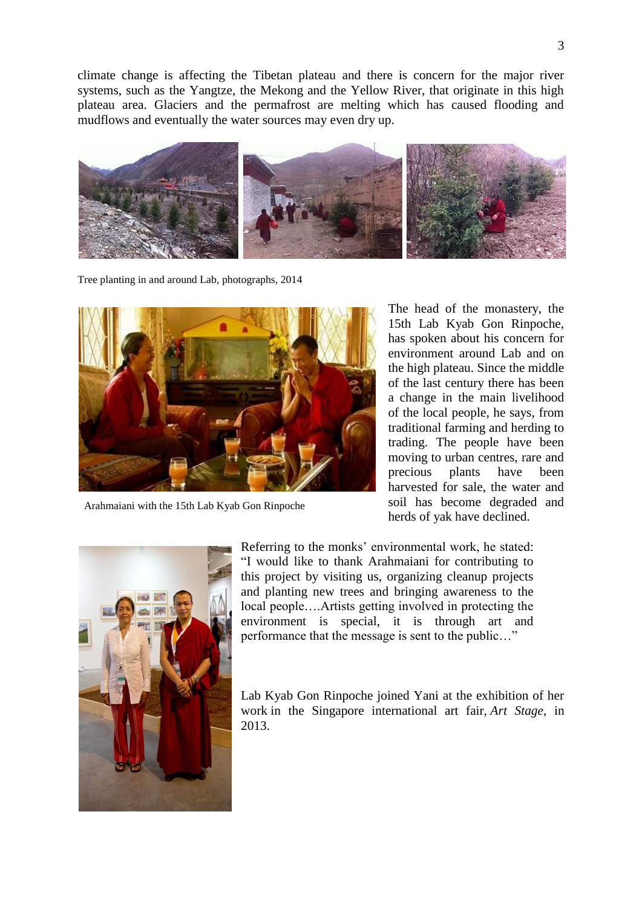climate change is affecting the Tibetan plateau and there is concern for the major river systems, such as the Yangtze, the Mekong and the Yellow River, that originate in this high plateau area. Glaciers and the permafrost are melting which has caused flooding and mudflows and eventually the water sources may even dry up.



Tree planting in and around Lab, photographs, 2014



Arahmaiani with the 15th Lab Kyab Gon Rinpoche

The head of the monastery, the 15th Lab Kyab Gon Rinpoche, has spoken about his concern for environment around Lab and on the high plateau. Since the middle of the last century there has been a change in the main livelihood of the local people, he says, from traditional farming and herding to trading. The people have been moving to urban centres, rare and precious plants have been harvested for sale, the water and soil has become degraded and herds of yak have declined.



Referring to the monks' environmental work, he stated: "I would like to thank Arahmaiani for contributing to this project by visiting us, organizing cleanup projects and planting new trees and bringing awareness to the local people….Artists getting involved in protecting the environment is special, it is through art and performance that the message is sent to the public…"

Lab Kyab Gon Rinpoche joined Yani at the exhibition of her work in the Singapore international art fair, *Art Stage*, in 2013.